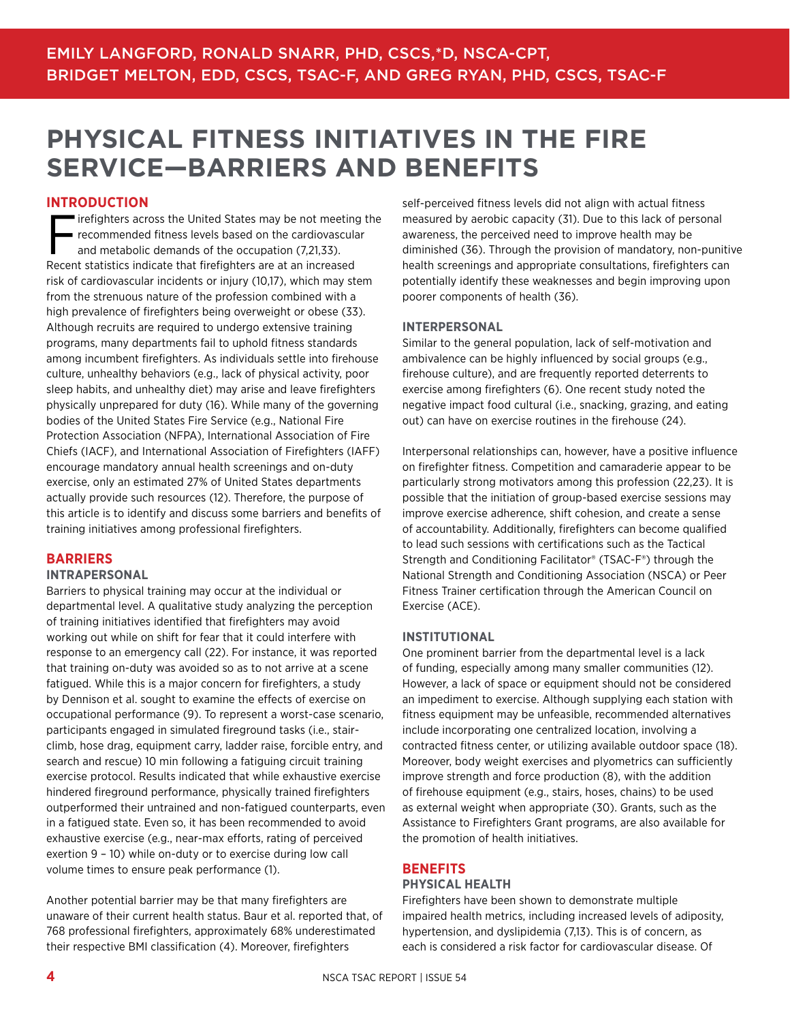# **PHYSICAL FITNESS INITIATIVES IN THE FIRE SERVICE—BARRIERS AND BENEFITS**

#### **INTRODUCTION**

Firefighters across the United States may be not meeting the recommended fitness levels based on the cardiovascular and metabolic demands of the occupation (7,21,33). Recent statistics indicate that firefighters are at an increased risk of cardiovascular incidents or injury (10,17), which may stem from the strenuous nature of the profession combined with a high prevalence of firefighters being overweight or obese (33). Although recruits are required to undergo extensive training programs, many departments fail to uphold fitness standards among incumbent firefighters. As individuals settle into firehouse culture, unhealthy behaviors (e.g., lack of physical activity, poor sleep habits, and unhealthy diet) may arise and leave firefighters physically unprepared for duty (16). While many of the governing bodies of the United States Fire Service (e.g., National Fire Protection Association (NFPA), International Association of Fire Chiefs (IACF), and International Association of Firefighters (IAFF) encourage mandatory annual health screenings and on-duty exercise, only an estimated 27% of United States departments actually provide such resources (12). Therefore, the purpose of this article is to identify and discuss some barriers and benefits of training initiatives among professional firefighters.

#### **BARRIERS**

#### **INTRAPERSONAL**

Barriers to physical training may occur at the individual or departmental level. A qualitative study analyzing the perception of training initiatives identified that firefighters may avoid working out while on shift for fear that it could interfere with response to an emergency call (22). For instance, it was reported that training on-duty was avoided so as to not arrive at a scene fatigued. While this is a major concern for firefighters, a study by Dennison et al. sought to examine the effects of exercise on occupational performance (9). To represent a worst-case scenario, participants engaged in simulated fireground tasks (i.e., stairclimb, hose drag, equipment carry, ladder raise, forcible entry, and search and rescue) 10 min following a fatiguing circuit training exercise protocol. Results indicated that while exhaustive exercise hindered fireground performance, physically trained firefighters outperformed their untrained and non-fatigued counterparts, even in a fatigued state. Even so, it has been recommended to avoid exhaustive exercise (e.g., near-max efforts, rating of perceived exertion 9 – 10) while on-duty or to exercise during low call volume times to ensure peak performance (1).

Another potential barrier may be that many firefighters are unaware of their current health status. Baur et al. reported that, of 768 professional firefighters, approximately 68% underestimated their respective BMI classification (4). Moreover, firefighters

self-perceived fitness levels did not align with actual fitness measured by aerobic capacity (31). Due to this lack of personal awareness, the perceived need to improve health may be diminished (36). Through the provision of mandatory, non-punitive health screenings and appropriate consultations, firefighters can potentially identify these weaknesses and begin improving upon poorer components of health (36).

#### **INTERPERSONAL**

Similar to the general population, lack of self-motivation and ambivalence can be highly influenced by social groups (e.g., firehouse culture), and are frequently reported deterrents to exercise among firefighters (6). One recent study noted the negative impact food cultural (i.e., snacking, grazing, and eating out) can have on exercise routines in the firehouse (24).

Interpersonal relationships can, however, have a positive influence on firefighter fitness. Competition and camaraderie appear to be particularly strong motivators among this profession (22,23). It is possible that the initiation of group-based exercise sessions may improve exercise adherence, shift cohesion, and create a sense of accountability. Additionally, firefighters can become qualified to lead such sessions with certifications such as the Tactical Strength and Conditioning Facilitator® (TSAC-F®) through the National Strength and Conditioning Association (NSCA) or Peer Fitness Trainer certification through the American Council on Exercise (ACE).

#### **INSTITUTIONAL**

One prominent barrier from the departmental level is a lack of funding, especially among many smaller communities (12). However, a lack of space or equipment should not be considered an impediment to exercise. Although supplying each station with fitness equipment may be unfeasible, recommended alternatives include incorporating one centralized location, involving a contracted fitness center, or utilizing available outdoor space (18). Moreover, body weight exercises and plyometrics can sufficiently improve strength and force production (8), with the addition of firehouse equipment (e.g., stairs, hoses, chains) to be used as external weight when appropriate (30). Grants, such as the Assistance to Firefighters Grant programs, are also available for the promotion of health initiatives.

### **BENEFITS**

#### **PHYSICAL HEALTH**

Firefighters have been shown to demonstrate multiple impaired health metrics, including increased levels of adiposity, hypertension, and dyslipidemia (7,13). This is of concern, as each is considered a risk factor for cardiovascular disease. Of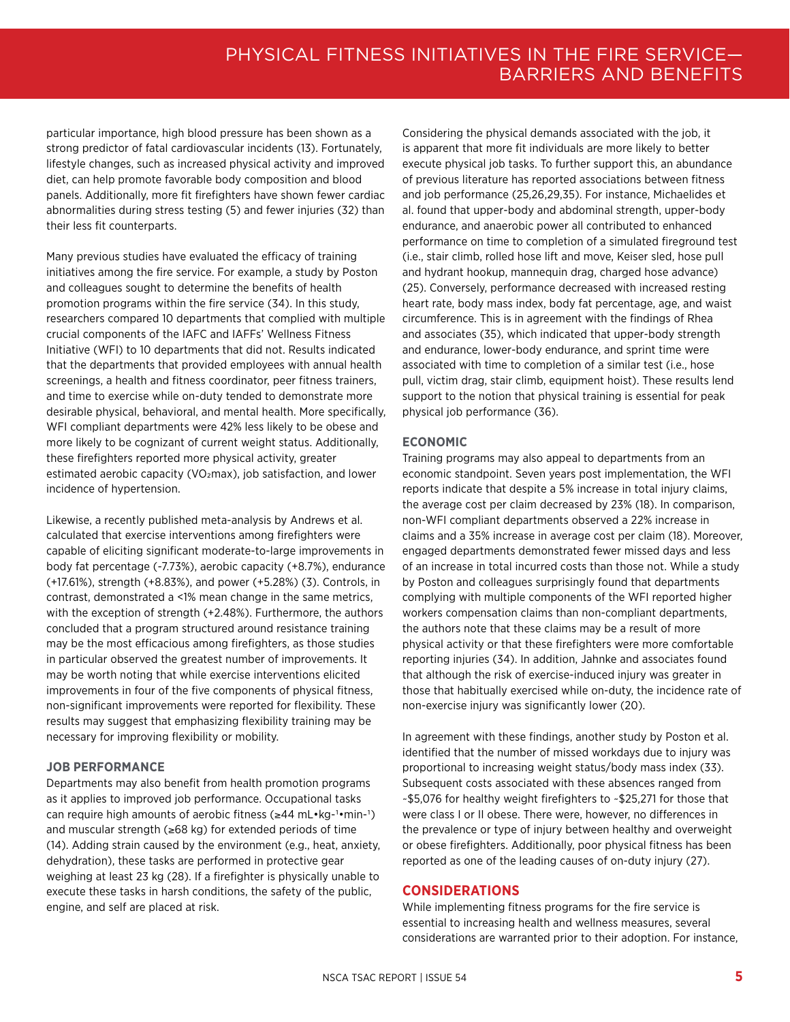particular importance, high blood pressure has been shown as a strong predictor of fatal cardiovascular incidents (13). Fortunately, lifestyle changes, such as increased physical activity and improved diet, can help promote favorable body composition and blood panels. Additionally, more fit firefighters have shown fewer cardiac abnormalities during stress testing (5) and fewer injuries (32) than their less fit counterparts.

Many previous studies have evaluated the efficacy of training initiatives among the fire service. For example, a study by Poston and colleagues sought to determine the benefits of health promotion programs within the fire service (34). In this study, researchers compared 10 departments that complied with multiple crucial components of the IAFC and IAFFs' Wellness Fitness Initiative (WFI) to 10 departments that did not. Results indicated that the departments that provided employees with annual health screenings, a health and fitness coordinator, peer fitness trainers, and time to exercise while on-duty tended to demonstrate more desirable physical, behavioral, and mental health. More specifically, WFI compliant departments were 42% less likely to be obese and more likely to be cognizant of current weight status. Additionally, these firefighters reported more physical activity, greater estimated aerobic capacity (VO<sub>2</sub>max), job satisfaction, and lower incidence of hypertension.

Likewise, a recently published meta-analysis by Andrews et al. calculated that exercise interventions among firefighters were capable of eliciting significant moderate-to-large improvements in body fat percentage (-7.73%), aerobic capacity (+8.7%), endurance (+17.61%), strength (+8.83%), and power (+5.28%) (3). Controls, in contrast, demonstrated a <1% mean change in the same metrics, with the exception of strength (+2.48%). Furthermore, the authors concluded that a program structured around resistance training may be the most efficacious among firefighters, as those studies in particular observed the greatest number of improvements. It may be worth noting that while exercise interventions elicited improvements in four of the five components of physical fitness, non-significant improvements were reported for flexibility. These results may suggest that emphasizing flexibility training may be necessary for improving flexibility or mobility.

#### **JOB PERFORMANCE**

Departments may also benefit from health promotion programs as it applies to improved job performance. Occupational tasks can require high amounts of aerobic fitness (≥44 mL•kg-1•min-1) and muscular strength (≥68 kg) for extended periods of time (14). Adding strain caused by the environment (e.g., heat, anxiety, dehydration), these tasks are performed in protective gear weighing at least 23 kg (28). If a firefighter is physically unable to execute these tasks in harsh conditions, the safety of the public, engine, and self are placed at risk.

Considering the physical demands associated with the job, it is apparent that more fit individuals are more likely to better execute physical job tasks. To further support this, an abundance of previous literature has reported associations between fitness and job performance (25,26,29,35). For instance, Michaelides et al. found that upper-body and abdominal strength, upper-body endurance, and anaerobic power all contributed to enhanced performance on time to completion of a simulated fireground test (i.e., stair climb, rolled hose lift and move, Keiser sled, hose pull and hydrant hookup, mannequin drag, charged hose advance) (25). Conversely, performance decreased with increased resting heart rate, body mass index, body fat percentage, age, and waist circumference. This is in agreement with the findings of Rhea and associates (35), which indicated that upper-body strength and endurance, lower-body endurance, and sprint time were associated with time to completion of a similar test (i.e., hose pull, victim drag, stair climb, equipment hoist). These results lend support to the notion that physical training is essential for peak physical job performance (36).

#### **ECONOMIC**

Training programs may also appeal to departments from an economic standpoint. Seven years post implementation, the WFI reports indicate that despite a 5% increase in total injury claims, the average cost per claim decreased by 23% (18). In comparison, non-WFI compliant departments observed a 22% increase in claims and a 35% increase in average cost per claim (18). Moreover, engaged departments demonstrated fewer missed days and less of an increase in total incurred costs than those not. While a study by Poston and colleagues surprisingly found that departments complying with multiple components of the WFI reported higher workers compensation claims than non-compliant departments, the authors note that these claims may be a result of more physical activity or that these firefighters were more comfortable reporting injuries (34). In addition, Jahnke and associates found that although the risk of exercise-induced injury was greater in those that habitually exercised while on-duty, the incidence rate of non-exercise injury was significantly lower (20).

In agreement with these findings, another study by Poston et al. identified that the number of missed workdays due to injury was proportional to increasing weight status/body mass index (33). Subsequent costs associated with these absences ranged from ~\$5,076 for healthy weight firefighters to ~\$25,271 for those that were class I or II obese. There were, however, no differences in the prevalence or type of injury between healthy and overweight or obese firefighters. Additionally, poor physical fitness has been reported as one of the leading causes of on-duty injury (27).

#### **CONSIDERATIONS**

While implementing fitness programs for the fire service is essential to increasing health and wellness measures, several considerations are warranted prior to their adoption. For instance,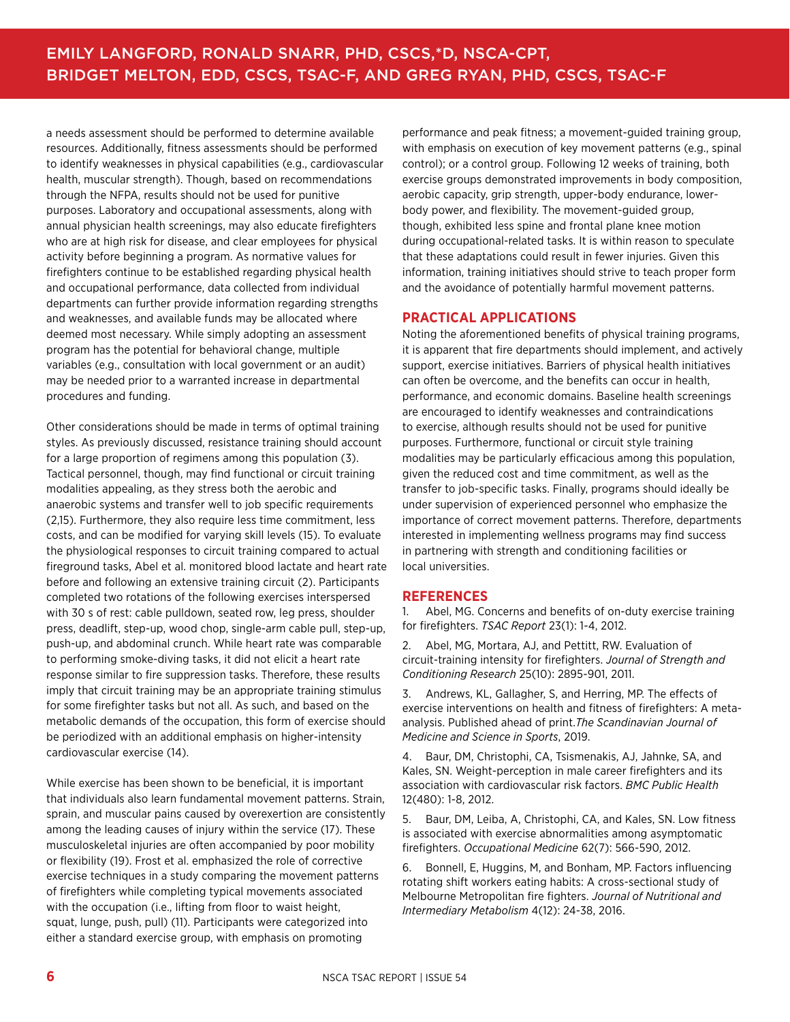a needs assessment should be performed to determine available resources. Additionally, fitness assessments should be performed to identify weaknesses in physical capabilities (e.g., cardiovascular health, muscular strength). Though, based on recommendations through the NFPA, results should not be used for punitive purposes. Laboratory and occupational assessments, along with annual physician health screenings, may also educate firefighters who are at high risk for disease, and clear employees for physical activity before beginning a program. As normative values for firefighters continue to be established regarding physical health and occupational performance, data collected from individual departments can further provide information regarding strengths and weaknesses, and available funds may be allocated where deemed most necessary. While simply adopting an assessment program has the potential for behavioral change, multiple variables (e.g., consultation with local government or an audit) may be needed prior to a warranted increase in departmental procedures and funding.

Other considerations should be made in terms of optimal training styles. As previously discussed, resistance training should account for a large proportion of regimens among this population (3). Tactical personnel, though, may find functional or circuit training modalities appealing, as they stress both the aerobic and anaerobic systems and transfer well to job specific requirements (2,15). Furthermore, they also require less time commitment, less costs, and can be modified for varying skill levels (15). To evaluate the physiological responses to circuit training compared to actual fireground tasks, Abel et al. monitored blood lactate and heart rate before and following an extensive training circuit (2). Participants completed two rotations of the following exercises interspersed with 30 s of rest: cable pulldown, seated row, leg press, shoulder press, deadlift, step-up, wood chop, single-arm cable pull, step-up, push-up, and abdominal crunch. While heart rate was comparable to performing smoke-diving tasks, it did not elicit a heart rate response similar to fire suppression tasks. Therefore, these results imply that circuit training may be an appropriate training stimulus for some firefighter tasks but not all. As such, and based on the metabolic demands of the occupation, this form of exercise should be periodized with an additional emphasis on higher-intensity cardiovascular exercise (14).

While exercise has been shown to be beneficial, it is important that individuals also learn fundamental movement patterns. Strain, sprain, and muscular pains caused by overexertion are consistently among the leading causes of injury within the service (17). These musculoskeletal injuries are often accompanied by poor mobility or flexibility (19). Frost et al. emphasized the role of corrective exercise techniques in a study comparing the movement patterns of firefighters while completing typical movements associated with the occupation (i.e., lifting from floor to waist height, squat, lunge, push, pull) (11). Participants were categorized into either a standard exercise group, with emphasis on promoting

performance and peak fitness; a movement-guided training group, with emphasis on execution of key movement patterns (e.g., spinal control); or a control group. Following 12 weeks of training, both exercise groups demonstrated improvements in body composition, aerobic capacity, grip strength, upper-body endurance, lowerbody power, and flexibility. The movement-guided group, though, exhibited less spine and frontal plane knee motion during occupational-related tasks. It is within reason to speculate that these adaptations could result in fewer injuries. Given this information, training initiatives should strive to teach proper form and the avoidance of potentially harmful movement patterns.

#### **PRACTICAL APPLICATIONS**

Noting the aforementioned benefits of physical training programs, it is apparent that fire departments should implement, and actively support, exercise initiatives. Barriers of physical health initiatives can often be overcome, and the benefits can occur in health, performance, and economic domains. Baseline health screenings are encouraged to identify weaknesses and contraindications to exercise, although results should not be used for punitive purposes. Furthermore, functional or circuit style training modalities may be particularly efficacious among this population, given the reduced cost and time commitment, as well as the transfer to job-specific tasks. Finally, programs should ideally be under supervision of experienced personnel who emphasize the importance of correct movement patterns. Therefore, departments interested in implementing wellness programs may find success in partnering with strength and conditioning facilities or local universities.

#### **REFERENCES**

1. Abel, MG. Concerns and benefits of on-duty exercise training for firefighters. *TSAC Report* 23(1): 1-4, 2012.

2. Abel, MG, Mortara, AJ, and Pettitt, RW. Evaluation of circuit-training intensity for firefighters. *Journal of Strength and Conditioning Research* 25(10): 2895-901, 2011.

3. Andrews, KL, Gallagher, S, and Herring, MP. The effects of exercise interventions on health and fitness of firefighters: A metaanalysis. Published ahead of print.*The Scandinavian Journal of Medicine and Science in Sports*, 2019.

4. Baur, DM, Christophi, CA, Tsismenakis, AJ, Jahnke, SA, and Kales, SN. Weight-perception in male career firefighters and its association with cardiovascular risk factors. *BMC Public Health* 12(480): 1-8, 2012.

5. Baur, DM, Leiba, A, Christophi, CA, and Kales, SN. Low fitness is associated with exercise abnormalities among asymptomatic firefighters. *Occupational Medicine* 62(7): 566-590, 2012.

6. Bonnell, E, Huggins, M, and Bonham, MP. Factors influencing rotating shift workers eating habits: A cross-sectional study of Melbourne Metropolitan fire fighters. *Journal of Nutritional and Intermediary Metabolism* 4(12): 24-38, 2016.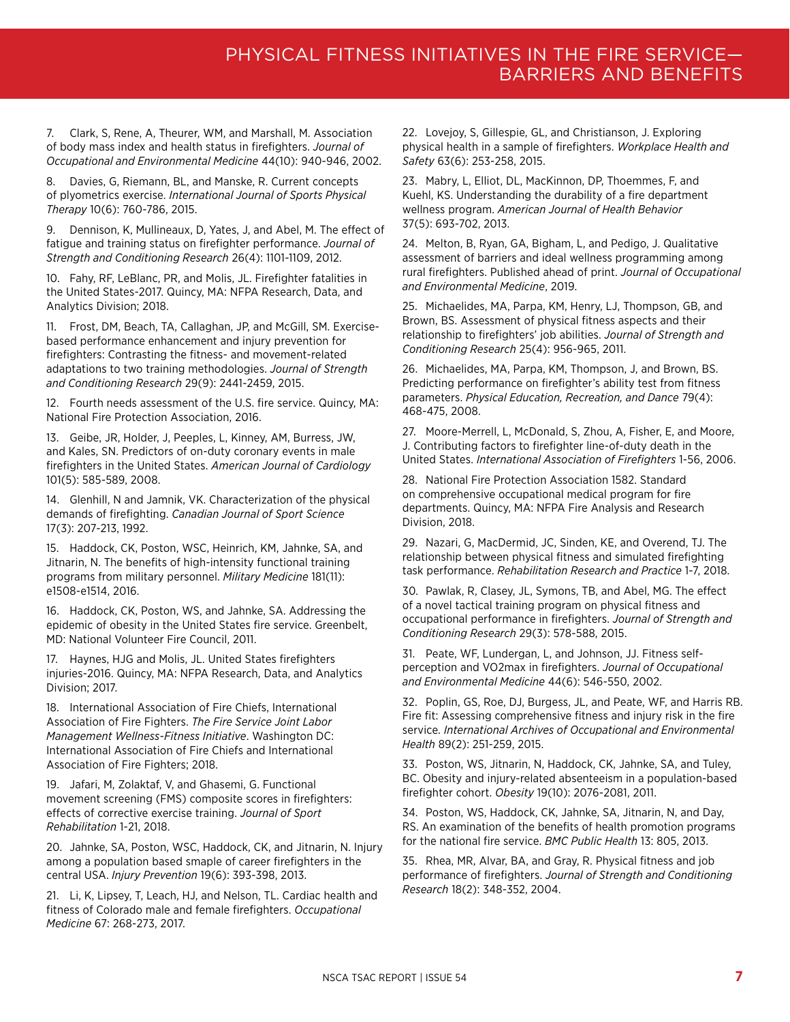7. Clark, S, Rene, A, Theurer, WM, and Marshall, M. Association of body mass index and health status in firefighters. *Journal of Occupational and Environmental Medicine* 44(10): 940-946, 2002.

Davies, G, Riemann, BL, and Manske, R. Current concepts of plyometrics exercise. *International Journal of Sports Physical Therapy* 10(6): 760-786, 2015.

9. Dennison, K, Mullineaux, D, Yates, J, and Abel, M. The effect of fatigue and training status on firefighter performance. *Journal of Strength and Conditioning Research* 26(4): 1101-1109, 2012.

10. Fahy, RF, LeBlanc, PR, and Molis, JL. Firefighter fatalities in the United States-2017. Quincy, MA: NFPA Research, Data, and Analytics Division; 2018.

11. Frost, DM, Beach, TA, Callaghan, JP, and McGill, SM. Exercisebased performance enhancement and injury prevention for firefighters: Contrasting the fitness- and movement-related adaptations to two training methodologies. *Journal of Strength and Conditioning Research* 29(9): 2441-2459, 2015.

12. Fourth needs assessment of the U.S. fire service. Quincy, MA: National Fire Protection Association, 2016.

13. Geibe, JR, Holder, J, Peeples, L, Kinney, AM, Burress, JW, and Kales, SN. Predictors of on-duty coronary events in male firefighters in the United States. *American Journal of Cardiology* 101(5): 585-589, 2008.

14. Glenhill, N and Jamnik, VK. Characterization of the physical demands of firefighting. *Canadian Journal of Sport Science* 17(3): 207-213, 1992.

15. Haddock, CK, Poston, WSC, Heinrich, KM, Jahnke, SA, and Jitnarin, N. The benefits of high-intensity functional training programs from military personnel. *Military Medicine* 181(11): e1508-e1514, 2016.

16. Haddock, CK, Poston, WS, and Jahnke, SA. Addressing the epidemic of obesity in the United States fire service. Greenbelt, MD: National Volunteer Fire Council, 2011.

17. Haynes, HJG and Molis, JL. United States firefighters injuries-2016. Quincy, MA: NFPA Research, Data, and Analytics Division; 2017.

18. International Association of Fire Chiefs, International Association of Fire Fighters. *The Fire Service Joint Labor Management Wellness-Fitness Initiative*. Washington DC: International Association of Fire Chiefs and International Association of Fire Fighters; 2018.

19. Jafari, M, Zolaktaf, V, and Ghasemi, G. Functional movement screening (FMS) composite scores in firefighters: effects of corrective exercise training. *Journal of Sport Rehabilitation* 1-21, 2018.

20. Jahnke, SA, Poston, WSC, Haddock, CK, and Jitnarin, N. Injury among a population based smaple of career firefighters in the central USA. *Injury Prevention* 19(6): 393-398, 2013.

21. Li, K, Lipsey, T, Leach, HJ, and Nelson, TL. Cardiac health and fitness of Colorado male and female firefighters. *Occupational Medicine* 67: 268-273, 2017.

22. Lovejoy, S, Gillespie, GL, and Christianson, J. Exploring physical health in a sample of firefighters. *Workplace Health and Safety* 63(6): 253-258, 2015.

23. Mabry, L, Elliot, DL, MacKinnon, DP, Thoemmes, F, and Kuehl, KS. Understanding the durability of a fire department wellness program. *American Journal of Health Behavior* 37(5): 693-702, 2013.

24. Melton, B, Ryan, GA, Bigham, L, and Pedigo, J. Qualitative assessment of barriers and ideal wellness programming among rural firefighters. Published ahead of print. *Journal of Occupational and Environmental Medicine*, 2019.

25. Michaelides, MA, Parpa, KM, Henry, LJ, Thompson, GB, and Brown, BS. Assessment of physical fitness aspects and their relationship to firefighters' job abilities. *Journal of Strength and Conditioning Research* 25(4): 956-965, 2011.

26. Michaelides, MA, Parpa, KM, Thompson, J, and Brown, BS. Predicting performance on firefighter's ability test from fitness parameters. *Physical Education, Recreation, and Dance* 79(4): 468-475, 2008.

27. Moore-Merrell, L, McDonald, S, Zhou, A, Fisher, E, and Moore, J. Contributing factors to firefighter line-of-duty death in the United States. *International Association of Firefighters* 1-56, 2006.

28. National Fire Protection Association 1582. Standard on comprehensive occupational medical program for fire departments. Quincy, MA: NFPA Fire Analysis and Research Division, 2018.

29. Nazari, G, MacDermid, JC, Sinden, KE, and Overend, TJ. The relationship between physical fitness and simulated firefighting task performance. *Rehabilitation Research and Practice* 1-7, 2018.

30. Pawlak, R, Clasey, JL, Symons, TB, and Abel, MG. The effect of a novel tactical training program on physical fitness and occupational performance in firefighters. *Journal of Strength and Conditioning Research* 29(3): 578-588, 2015.

31. Peate, WF, Lundergan, L, and Johnson, JJ. Fitness selfperception and VO2max in firefighters. *Journal of Occupational and Environmental Medicine* 44(6): 546-550, 2002.

32. Poplin, GS, Roe, DJ, Burgess, JL, and Peate, WF, and Harris RB. Fire fit: Assessing comprehensive fitness and injury risk in the fire service. *International Archives of Occupational and Environmental Health* 89(2): 251-259, 2015.

33. Poston, WS, Jitnarin, N, Haddock, CK, Jahnke, SA, and Tuley, BC. Obesity and injury-related absenteeism in a population-based firefighter cohort. *Obesity* 19(10): 2076-2081, 2011.

34. Poston, WS, Haddock, CK, Jahnke, SA, Jitnarin, N, and Day, RS. An examination of the benefits of health promotion programs for the national fire service. *BMC Public Health* 13: 805, 2013.

35. Rhea, MR, Alvar, BA, and Gray, R. Physical fitness and job performance of firefighters. *Journal of Strength and Conditioning Research* 18(2): 348-352, 2004.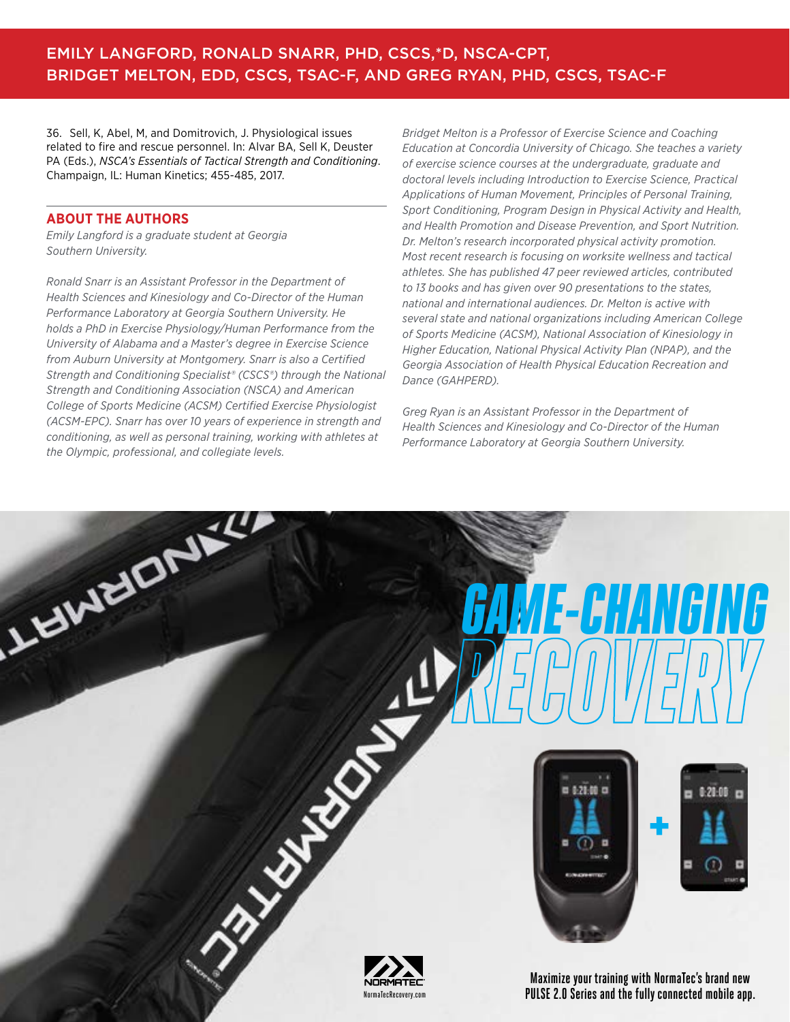### EMILY LANGFORD, RONALD SNARR, PHD, CSCS,\*D, NSCA-CPT, BRIDGET MELTON, EDD, CSCS, TSAC-F, AND GREG RYAN, PHD, CSCS, TSAC-F

36. Sell, K, Abel, M, and Domitrovich, J. Physiological issues related to fire and rescue personnel. In: Alvar BA, Sell K, Deuster PA (Eds.), *NSCA's Essentials of Tactical Strength and Conditioning*. Champaign, IL: Human Kinetics; 455-485, 2017.

#### **ABOUT THE AUTHORS**

LISWEIGHEL

*Emily Langford is a graduate student at Georgia Southern University.*

*Ronald Snarr is an Assistant Professor in the Department of Health Sciences and Kinesiology and Co-Director of the Human Performance Laboratory at Georgia Southern University. He holds a PhD in Exercise Physiology/Human Performance from the University of Alabama and a Master's degree in Exercise Science from Auburn University at Montgomery. Snarr is also a Certified Strength and Conditioning Specialist® (CSCS®) through the National Strength and Conditioning Association (NSCA) and American College of Sports Medicine (ACSM) Certified Exercise Physiologist (ACSM-EPC). Snarr has over 10 years of experience in strength and conditioning, as well as personal training, working with athletes at the Olympic, professional, and collegiate levels.*

*Bridget Melton is a Professor of Exercise Science and Coaching Education at Concordia University of Chicago. She teaches a variety of exercise science courses at the undergraduate, graduate and doctoral levels including Introduction to Exercise Science, Practical Applications of Human Movement, Principles of Personal Training, Sport Conditioning, Program Design in Physical Activity and Health, and Health Promotion and Disease Prevention, and Sport Nutrition. Dr. Melton's research incorporated physical activity promotion. Most recent research is focusing on worksite wellness and tactical athletes. She has published 47 peer reviewed articles, contributed to 13 books and has given over 90 presentations to the states, national and international audiences. Dr. Melton is active with several state and national organizations including American College of Sports Medicine (ACSM), National Association of Kinesiology in Higher Education, National Physical Activity Plan (NPAP), and the Georgia Association of Health Physical Education Recreation and Dance (GAHPERD).*

*Greg Ryan is an Assistant Professor in the Department of Health Sciences and Kinesiology and Co-Director of the Human Performance Laboratory at Georgia Southern University.*



 [GAME-CHANGING](https://www.normatecrecovery.com/?utm_source=NSCAPTQ&utm_medium=HalfPageAd) 



**PASSAGE 8 NSCALE REPORT IN THE REPORT OF A NSCALE REPORT IN THE REPORT OF A NSCALE REPORT OF A NSCALE REPORT OF A NSC** NormaTecRecovery.com

**Maximize your training with NormaTec's brand new PULSE 2.0 Series and the fully connected mobile app.**